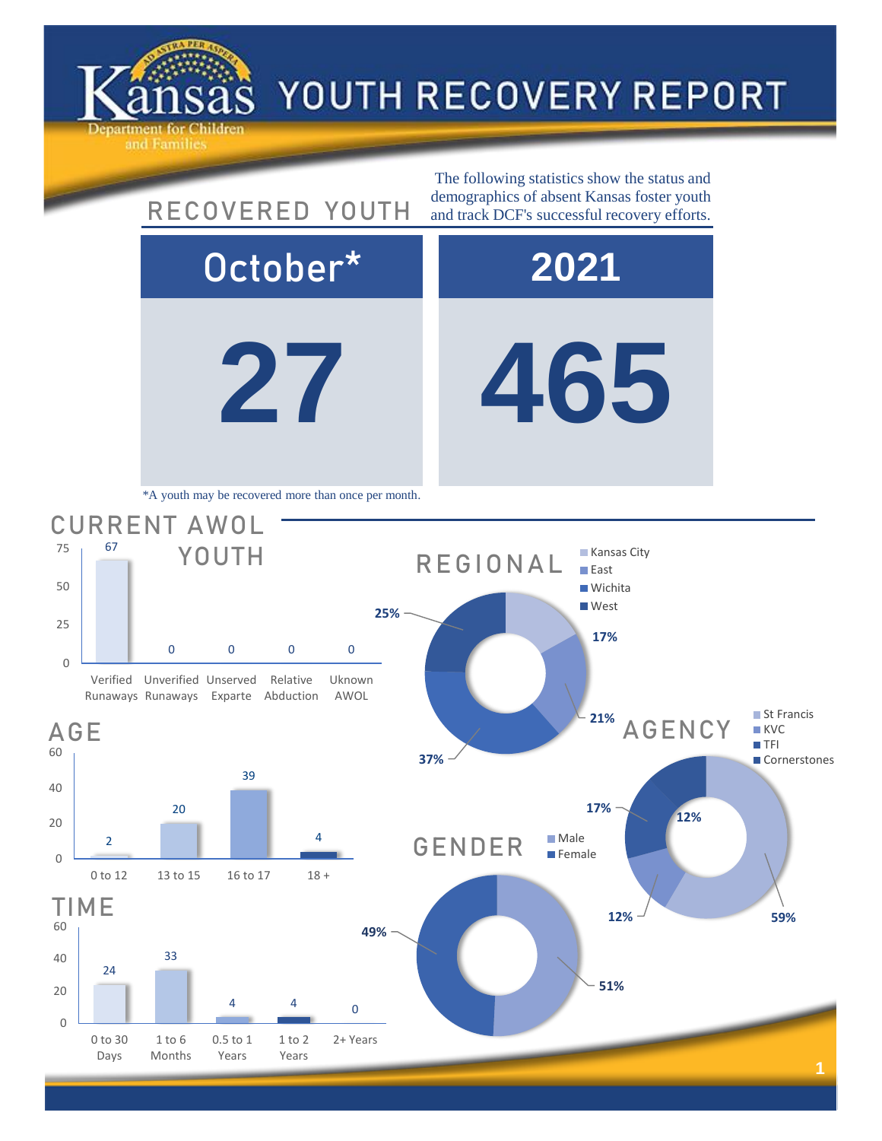

0

20

40

60

0

20

40

60

0

25

50

75

## YOUTH RECOVERY REPORT

**27 465** October\* **2021** 24 33 4 4 0 0 to 30 Days 1 to 6 Months 0.5 to 1 Years 1 to 2 Years 2+ Years TIME **51% 49%** GENDER Male **Female 12% 59% 17% 12%** AGENCY ■ St Francis **KVC TFI Cornerstones** 2 20 39 4 0 to 12 13 to 15 16 to 17 18 + AGE 67 0 0 0 0 Verified Unverified Unserved Runaways Runaways Exparte Abduction Relative Uknown AWOL CURRENT AWOL YOUTH The following statistics show the status and RECOVERED YOUTH demographics of absent Kansas foster youth and track DCF's successful recovery efforts. \*A youth may be recovered more than once per month. **17% 21% 37% 25%** REGIONAL **Kansas City East Wichita West**